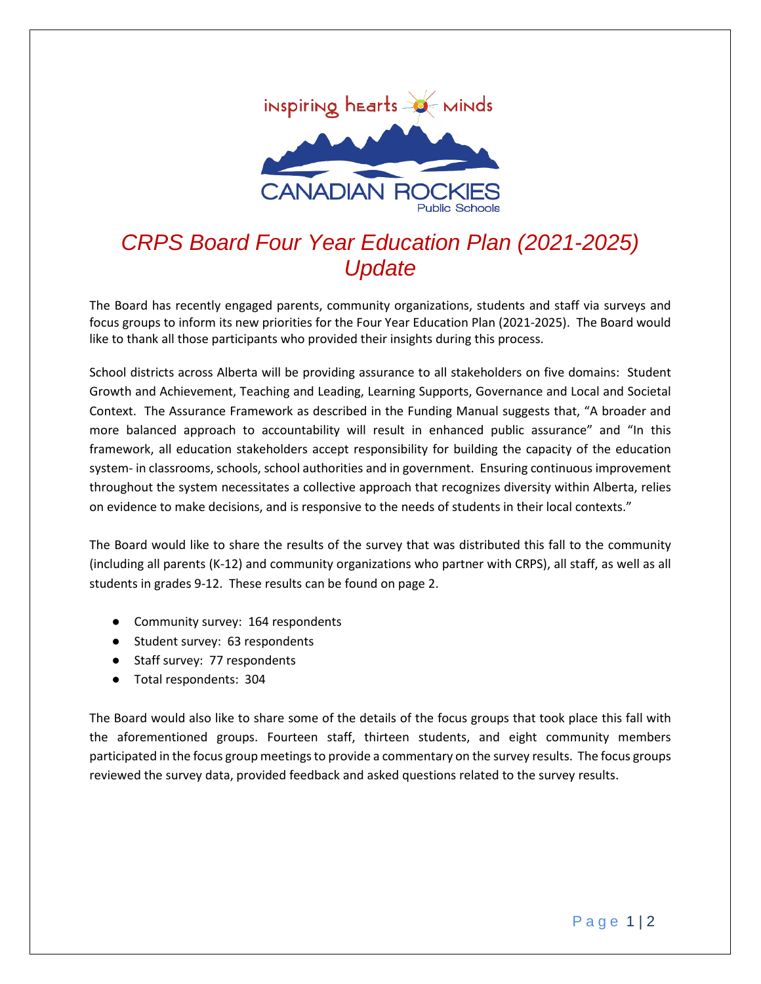

# *CRPS Board Four Year Education Plan (2021-2025) Update*

The Board has recently engaged parents, community organizations, students and staff via surveys and focus groups to inform its new priorities for the Four Year Education Plan (2021-2025). The Board would like to thank all those participants who provided their insights during this process.

School districts across Alberta will be providing assurance to all stakeholders on five domains: Student Growth and Achievement, Teaching and Leading, Learning Supports, Governance and Local and Societal Context. The Assurance Framework as described in the Funding Manual suggests that, "A broader and more balanced approach to accountability will result in enhanced public assurance" and "In this framework, all education stakeholders accept responsibility for building the capacity of the education system- in classrooms, schools, school authorities and in government. Ensuring continuous improvement throughout the system necessitates a collective approach that recognizes diversity within Alberta, relies on evidence to make decisions, and is responsive to the needs of students in their local contexts."

The Board would like to share the results of the survey that was distributed this fall to the community (including all parents (K-12) and community organizations who partner with CRPS), all staff, as well as all students in grades 9-12. These results can be found on page 2.

- Community survey: 164 respondents
- Student survey: 63 respondents
- Staff survey: 77 respondents
- Total respondents: 304

The Board would also like to share some of the details of the focus groups that took place this fall with the aforementioned groups. Fourteen staff, thirteen students, and eight community members participated in the focus group meetings to provide a commentary on the survey results. The focus groups reviewed the survey data, provided feedback and asked questions related to the survey results.